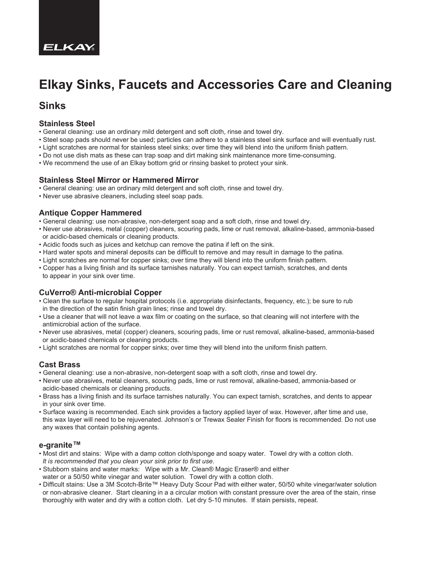

# **Elkay Sinks, Faucets and Accessories Care and Cleaning**

### **Sinks**

#### **Stainless Steel**

- General cleaning: use an ordinary mild detergent and soft cloth, rinse and towel dry.
- Steel soap pads should never be used; particles can adhere to a stainless steel sink surface and will eventually rust.
- Light scratches are normal for stainless steel sinks; over time they will blend into the uniform finish pattern.
- Do not use dish mats as these can trap soap and dirt making sink maintenance more time-consuming.
- We recommend the use of an Elkay bottom grid or rinsing basket to protect your sink.

#### **Stainless Steel Mirror or Hammered Mirror**

- General cleaning: use an ordinary mild detergent and soft cloth, rinse and towel dry.
- Never use abrasive cleaners, including steel soap pads.

#### **Antique Copper Hammered**

- General cleaning: use non-abrasive, non-detergent soap and a soft cloth, rinse and towel dry.
- Never use abrasives, metal (copper) cleaners, scouring pads, lime or rust removal, alkaline-based, ammonia-based or acidic-based chemicals or cleaning products.
- Acidic foods such as juices and ketchup can remove the patina if left on the sink.
- Hard water spots and mineral deposits can be difficult to remove and may result in damage to the patina.
- Light scratches are normal for copper sinks; over time they will blend into the uniform finish pattern.
- Copper has a living finish and its surface tarnishes naturally. You can expect tarnish, scratches, and dents to appear in your sink over time.

#### **CuVerro® Anti-microbial Copper**

- Clean the surface to regular hospital protocols (i.e. appropriate disinfectants, frequency, etc.); be sure to rub in the direction of the satin finish grain lines; rinse and towel dry.
- Use a cleaner that will not leave a wax film or coating on the surface, so that cleaning will not interfere with the antimicrobial action of the surface.
- Never use abrasives, metal (copper) cleaners, scouring pads, lime or rust removal, alkaline-based, ammonia-based or acidic-based chemicals or cleaning products.
- Light scratches are normal for copper sinks; over time they will blend into the uniform finish pattern.

#### **Cast Brass**

- General cleaning: use a non-abrasive, non-detergent soap with a soft cloth, rinse and towel dry.
- Never use abrasives, metal cleaners, scouring pads, lime or rust removal, alkaline-based, ammonia-based or acidic-based chemicals or cleaning products.
- Brass has a living finish and its surface tarnishes naturally. You can expect tarnish, scratches, and dents to appear in your sink over time.
- Surface waxing is recommended. Each sink provides a factory applied layer of wax. However, after time and use, this wax layer will need to be rejuvenated. Johnson's or Trewax Sealer Finish for floors is recommended. Do not use any waxes that contain polishing agents.

#### **e-granite™**

- Most dirt and stains: Wipe with a damp cotton cloth/sponge and soapy water. Towel dry with a cotton cloth. *It is recommended that you clean your sink prior to first use.*
- Stubborn stains and water marks: Wipe with a Mr. Clean® Magic Eraser® and either
- water or a 50/50 white vinegar and water solution. Towel dry with a cotton cloth.
- Difficult stains: Use a 3M Scotch-Brite™ Heavy Duty Scour Pad with either water, 50/50 white vinegar/water solution or non-abrasive cleaner. Start cleaning in a a circular motion with constant pressure over the area of the stain, rinse thoroughly with water and dry with a cotton cloth. Let dry 5-10 minutes. If stain persists, repeat.